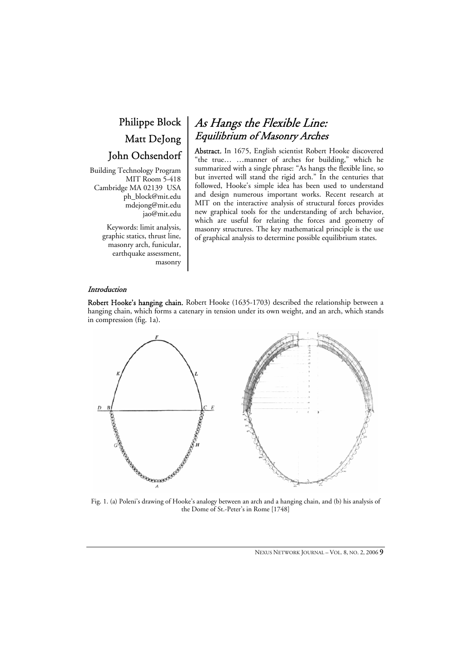# Philippe Block Matt DeJong John Ochsendorf

Building Technology Program MIT Room 5-418 Cambridge MA 02139 USA ph\_block@mit.edu mdejong@mit.edu jao@mit.edu

> Keywords: limit analysis, graphic statics, thrust line, masonry arch, funicular, earthquake assessment, masonry

# As Hangs the Flexible Line: Equilibrium of Masonry Arches

Abstract. In 1675, English scientist Robert Hooke discovered "the true… …manner of arches for building," which he summarized with a single phrase: "As hangs the flexible line, so but inverted will stand the rigid arch." In the centuries that followed, Hooke's simple idea has been used to understand and design numerous important works. Recent research at MIT on the interactive analysis of structural forces provides new graphical tools for the understanding of arch behavior, which are useful for relating the forces and geometry of masonry structures. The key mathematical principle is the use of graphical analysis to determine possible equilibrium states.

# **Introduction**

Robert Hooke's hanging chain. Robert Hooke (1635-1703) described the relationship between a hanging chain, which forms a catenary in tension under its own weight, and an arch, which stands in compression (fig. 1a).



Fig. 1. (a) Poleni's drawing of Hooke's analogy between an arch and a hanging chain, and (b) his analysis of the Dome of St.-Peter's in Rome [1748]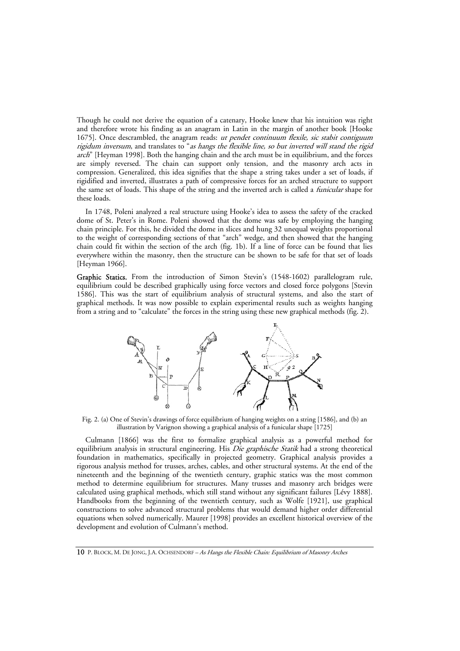Though he could not derive the equation of a catenary, Hooke knew that his intuition was right and therefore wrote his finding as an anagram in Latin in the margin of another book [Hooke 1675]. Once descrambled, the anagram reads: ut pendet continuum flexile, sic stabit contiguum rigidum inversum, and translates to "as hangs the flexible line, so but inverted will stand the rigid arch" [Heyman 1998]. Both the hanging chain and the arch must be in equilibrium, and the forces are simply reversed. The chain can support only tension, and the masonry arch acts in compression. Generalized, this idea signifies that the shape a string takes under a set of loads, if rigidified and inverted, illustrates a path of compressive forces for an arched structure to support the same set of loads. This shape of the string and the inverted arch is called a *funicular* shape for these loads.

In 1748, Poleni analyzed a real structure using Hooke's idea to assess the safety of the cracked dome of St. Peter's in Rome. Poleni showed that the dome was safe by employing the hanging chain principle. For this, he divided the dome in slices and hung 32 unequal weights proportional to the weight of corresponding sections of that "arch" wedge, and then showed that the hanging chain could fit within the section of the arch (fig. 1b). If a line of force can be found that lies everywhere within the masonry, then the structure can be shown to be safe for that set of loads [Heyman 1966].

Graphic Statics. From the introduction of Simon Stevin's (1548-1602) parallelogram rule, equilibrium could be described graphically using force vectors and closed force polygons [Stevin 1586]. This was the start of equilibrium analysis of structural systems, and also the start of graphical methods. It was now possible to explain experimental results such as weights hanging from a string and to "calculate" the forces in the string using these new graphical methods (fig. 2).



Fig. 2. (a) One of Stevin's drawings of force equilibrium of hanging weights on a string [1586], and (b) an illustration by Varignon showing a graphical analysis of a funicular shape [1725]

Culmann [1866] was the first to formalize graphical analysis as a powerful method for equilibrium analysis in structural engineering. His *Die graphische Statik* had a strong theoretical foundation in mathematics, specifically in projected geometry. Graphical analysis provides a rigorous analysis method for trusses, arches, cables, and other structural systems. At the end of the nineteenth and the beginning of the twentieth century, graphic statics was the most common method to determine equilibrium for structures. Many trusses and masonry arch bridges were calculated using graphical methods, which still stand without any significant failures [Lévy 1888]. Handbooks from the beginning of the twentieth century, such as Wolfe [1921], use graphical constructions to solve advanced structural problems that would demand higher order differential equations when solved numerically. Maurer [1998] provides an excellent historical overview of the development and evolution of Culmann's method.

10 P. BLOCK, M. DE JONG, J.A. OCHSENDORF - As Hangs the Flexible Chain: Equilibrium of Masonry Arches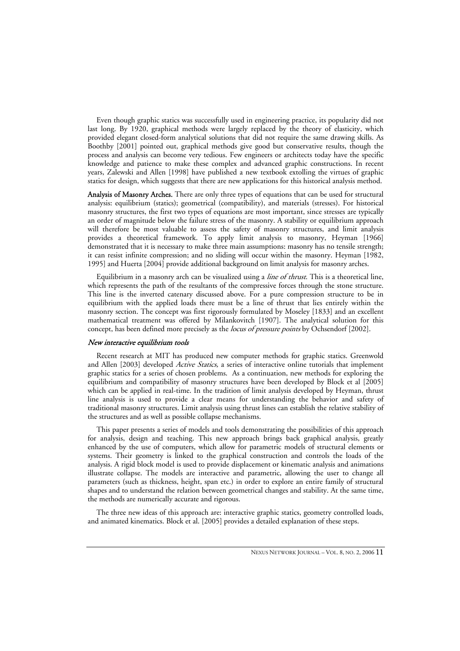Even though graphic statics was successfully used in engineering practice, its popularity did not last long. By 1920, graphical methods were largely replaced by the theory of elasticity, which provided elegant closed-form analytical solutions that did not require the same drawing skills. As Boothby [2001] pointed out, graphical methods give good but conservative results, though the process and analysis can become very tedious. Few engineers or architects today have the specific knowledge and patience to make these complex and advanced graphic constructions. In recent years, Zalewski and Allen [1998] have published a new textbook extolling the virtues of graphic statics for design, which suggests that there are new applications for this historical analysis method.

Analysis of Masonry Arches. There are only three types of equations that can be used for structural analysis: equilibrium (statics); geometrical (compatibility), and materials (stresses). For historical masonry structures, the first two types of equations are most important, since stresses are typically an order of magnitude below the failure stress of the masonry. A stability or equilibrium approach will therefore be most valuable to assess the safety of masonry structures, and limit analysis provides a theoretical framework. To apply limit analysis to masonry, Heyman [1966] demonstrated that it is necessary to make three main assumptions: masonry has no tensile strength; it can resist infinite compression; and no sliding will occur within the masonry. Heyman [1982, 1995] and Huerta [2004] provide additional background on limit analysis for masonry arches.

Equilibrium in a masonry arch can be visualized using a *line of thrust*. This is a theoretical line, which represents the path of the resultants of the compressive forces through the stone structure. This line is the inverted catenary discussed above. For a pure compression structure to be in equilibrium with the applied loads there must be a line of thrust that lies entirely within the masonry section. The concept was first rigorously formulated by Moseley [1833] and an excellent mathematical treatment was offered by Milankovitch [1907]. The analytical solution for this concept, has been defined more precisely as the *locus of pressure points* by Ochsendorf [2002].

# New interactive equilibrium tools

Recent research at MIT has produced new computer methods for graphic statics. Greenwold and Allen [2003] developed Active Statics, a series of interactive online tutorials that implement graphic statics for a series of chosen problems. As a continuation, new methods for exploring the equilibrium and compatibility of masonry structures have been developed by Block et al [2005] which can be applied in real-time. In the tradition of limit analysis developed by Heyman, thrust line analysis is used to provide a clear means for understanding the behavior and safety of traditional masonry structures. Limit analysis using thrust lines can establish the relative stability of the structures and as well as possible collapse mechanisms.

This paper presents a series of models and tools demonstrating the possibilities of this approach for analysis, design and teaching. This new approach brings back graphical analysis, greatly enhanced by the use of computers, which allow for parametric models of structural elements or systems. Their geometry is linked to the graphical construction and controls the loads of the analysis. A rigid block model is used to provide displacement or kinematic analysis and animations illustrate collapse. The models are interactive and parametric, allowing the user to change all parameters (such as thickness, height, span etc.) in order to explore an entire family of structural shapes and to understand the relation between geometrical changes and stability. At the same time, the methods are numerically accurate and rigorous.

The three new ideas of this approach are: interactive graphic statics, geometry controlled loads, and animated kinematics. Block et al. [2005] provides a detailed explanation of these steps.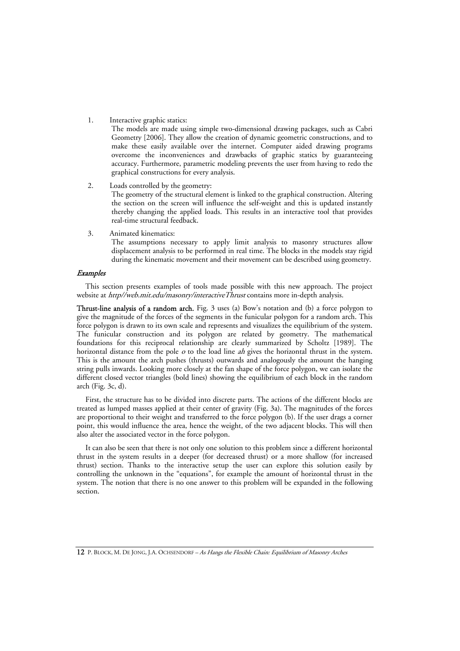1. Interactive graphic statics:

The models are made using simple two-dimensional drawing packages, such as Cabri Geometry [2006]. They allow the creation of dynamic geometric constructions, and to make these easily available over the internet. Computer aided drawing programs overcome the inconveniences and drawbacks of graphic statics by guaranteeing accuracy. Furthermore, parametric modeling prevents the user from having to redo the graphical constructions for every analysis.

- 2. Loads controlled by the geometry: The geometry of the structural element is linked to the graphical construction. Altering the section on the screen will influence the self-weight and this is updated instantly thereby changing the applied loads. This results in an interactive tool that provides real-time structural feedback.
- 3. Animated kinematics:

The assumptions necessary to apply limit analysis to masonry structures allow displacement analysis to be performed in real time. The blocks in the models stay rigid during the kinematic movement and their movement can be described using geometry.

#### Examples

This section presents examples of tools made possible with this new approach. The project website at http//web.mit.edu/masonry/interactiveThrust contains more in-depth analysis.

Thrust-line analysis of a random arch. Fig. 3 uses (a) Bow's notation and (b) a force polygon to give the magnitude of the forces of the segments in the funicular polygon for a random arch. This force polygon is drawn to its own scale and represents and visualizes the equilibrium of the system. The funicular construction and its polygon are related by geometry. The mathematical foundations for this reciprocal relationship are clearly summarized by Scholtz [1989]. The horizontal distance from the pole  $o$  to the load line ah gives the horizontal thrust in the system. This is the amount the arch pushes (thrusts) outwards and analogously the amount the hanging string pulls inwards. Looking more closely at the fan shape of the force polygon, we can isolate the different closed vector triangles (bold lines) showing the equilibrium of each block in the random arch (Fig. 3c, d).

First, the structure has to be divided into discrete parts. The actions of the different blocks are treated as lumped masses applied at their center of gravity (Fig. 3a). The magnitudes of the forces are proportional to their weight and transferred to the force polygon (b). If the user drags a corner point, this would influence the area, hence the weight, of the two adjacent blocks. This will then also alter the associated vector in the force polygon.

It can also be seen that there is not only one solution to this problem since a different horizontal thrust in the system results in a deeper (for decreased thrust) or a more shallow (for increased thrust) section. Thanks to the interactive setup the user can explore this solution easily by controlling the unknown in the "equations", for example the amount of horizontal thrust in the system. The notion that there is no one answer to this problem will be expanded in the following section.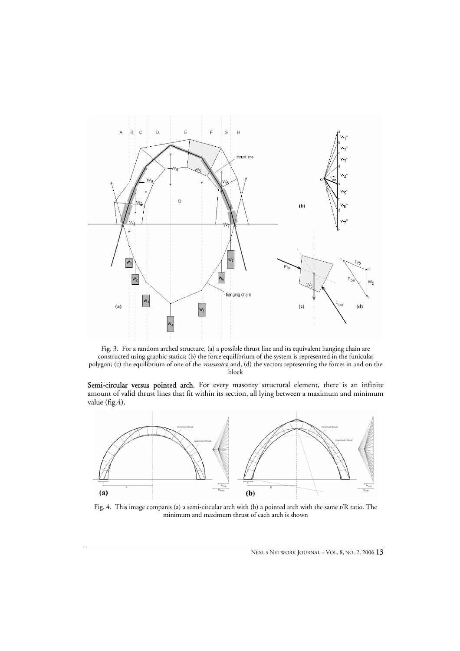

Fig. 3. For a random arched structure, (a) a possible thrust line and its equivalent hanging chain are constructed using graphic statics; (b) the force equilibrium of the system is represented in the funicular polygon; (c) the equilibrium of one of the voussoirs; and, (d) the vectors representing the forces in and on the block

Semi-circular versus pointed arch. For every masonry structural element, there is an infinite amount of valid thrust lines that fit within its section, all lying between a maximum and minimum value (fig.4).



Fig. 4. This image compares (a) a semi-circular arch with (b) a pointed arch with the same t/R ratio. The minimum and maximum thrust of each arch is shown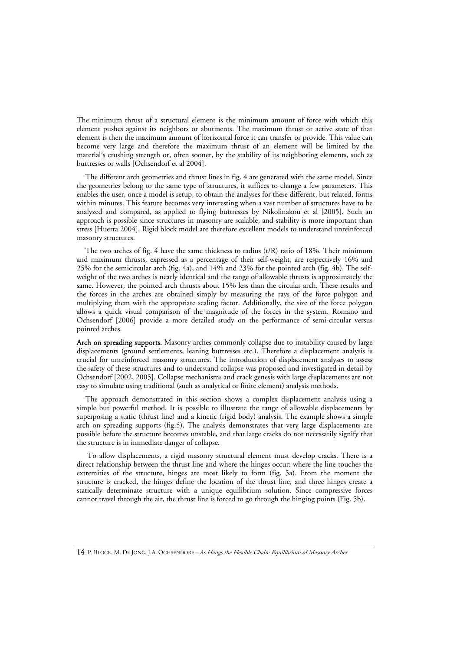The minimum thrust of a structural element is the minimum amount of force with which this element pushes against its neighbors or abutments. The maximum thrust or active state of that element is then the maximum amount of horizontal force it can transfer or provide. This value can become very large and therefore the maximum thrust of an element will be limited by the material's crushing strength or, often sooner, by the stability of its neighboring elements, such as buttresses or walls [Ochsendorf et al 2004].

The different arch geometries and thrust lines in fig. 4 are generated with the same model. Since the geometries belong to the same type of structures, it suffices to change a few parameters. This enables the user, once a model is setup, to obtain the analyses for these different, but related, forms within minutes. This feature becomes very interesting when a vast number of structures have to be analyzed and compared, as applied to flying buttresses by Nikolinakou et al [2005]. Such an approach is possible since structures in masonry are scalable, and stability is more important than stress [Huerta 2004]. Rigid block model are therefore excellent models to understand unreinforced masonry structures.

The two arches of fig. 4 have the same thickness to radius  $(t/R)$  ratio of 18%. Their minimum and maximum thrusts, expressed as a percentage of their self-weight, are respectively 16% and 25% for the semicircular arch (fig. 4a), and 14% and 23% for the pointed arch (fig. 4b). The selfweight of the two arches is nearly identical and the range of allowable thrusts is approximately the same. However, the pointed arch thrusts about 15% less than the circular arch. These results and the forces in the arches are obtained simply by measuring the rays of the force polygon and multiplying them with the appropriate scaling factor. Additionally, the size of the force polygon allows a quick visual comparison of the magnitude of the forces in the system. Romano and Ochsendorf [2006] provide a more detailed study on the performance of semi-circular versus pointed arches.

Arch on spreading supports. Masonry arches commonly collapse due to instability caused by large displacements (ground settlements, leaning buttresses etc.). Therefore a displacement analysis is crucial for unreinforced masonry structures. The introduction of displacement analyses to assess the safety of these structures and to understand collapse was proposed and investigated in detail by Ochsendorf [2002, 2005]. Collapse mechanisms and crack genesis with large displacements are not easy to simulate using traditional (such as analytical or finite element) analysis methods.

The approach demonstrated in this section shows a complex displacement analysis using a simple but powerful method. It is possible to illustrate the range of allowable displacements by superposing a static (thrust line) and a kinetic (rigid body) analysis. The example shows a simple arch on spreading supports (fig.5). The analysis demonstrates that very large displacements are possible before the structure becomes unstable, and that large cracks do not necessarily signify that the structure is in immediate danger of collapse.

 To allow displacements, a rigid masonry structural element must develop cracks. There is a direct relationship between the thrust line and where the hinges occur: where the line touches the extremities of the structure, hinges are most likely to form (fig. 5a). From the moment the structure is cracked, the hinges define the location of the thrust line, and three hinges create a statically determinate structure with a unique equilibrium solution. Since compressive forces cannot travel through the air, the thrust line is forced to go through the hinging points (Fig. 5b).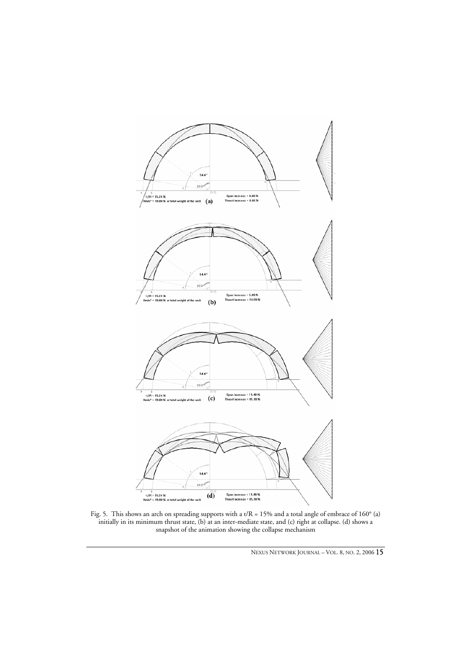

Fig. 5. This shows an arch on spreading supports with a  $t/R = 15%$  and a total angle of embrace of 160 $^{\circ}$  (a) initially in its minimum thrust state, (b) at an inter-mediate state, and (c) right at collapse. (d) shows a snapshot of the animation showing the collapse mechanism

NEXUS NETWORK JOURNAL – VOL. 8, NO. 2, 2006 15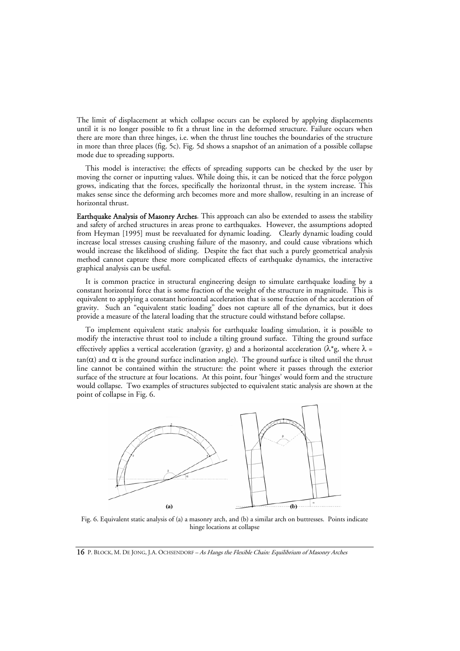The limit of displacement at which collapse occurs can be explored by applying displacements until it is no longer possible to fit a thrust line in the deformed structure. Failure occurs when there are more than three hinges, i.e. when the thrust line touches the boundaries of the structure in more than three places (fig. 5c). Fig. 5d shows a snapshot of an animation of a possible collapse mode due to spreading supports.

This model is interactive; the effects of spreading supports can be checked by the user by moving the corner or inputting values. While doing this, it can be noticed that the force polygon grows, indicating that the forces, specifically the horizontal thrust, in the system increase. This makes sense since the deforming arch becomes more and more shallow, resulting in an increase of horizontal thrust.

Earthquake Analysis of Masonry Arches. This approach can also be extended to assess the stability and safety of arched structures in areas prone to earthquakes. However, the assumptions adopted from Heyman [1995] must be reevaluated for dynamic loading. Clearly dynamic loading could increase local stresses causing crushing failure of the masonry, and could cause vibrations which would increase the likelihood of sliding. Despite the fact that such a purely geometrical analysis method cannot capture these more complicated effects of earthquake dynamics, the interactive graphical analysis can be useful.

It is common practice in structural engineering design to simulate earthquake loading by a constant horizontal force that is some fraction of the weight of the structure in magnitude. This is equivalent to applying a constant horizontal acceleration that is some fraction of the acceleration of gravity. Such an "equivalent static loading" does not capture all of the dynamics, but it does provide a measure of the lateral loading that the structure could withstand before collapse.

To implement equivalent static analysis for earthquake loading simulation, it is possible to modify the interactive thrust tool to include a tilting ground surface. Tilting the ground surface effectively applies a vertical acceleration (gravity, g) and a horizontal acceleration ( $\lambda^*$ g, where  $\lambda =$  $tan(\alpha)$  and  $\alpha$  is the ground surface inclination angle). The ground surface is tilted until the thrust line cannot be contained within the structure: the point where it passes through the exterior surface of the structure at four locations. At this point, four 'hinges' would form and the structure would collapse. Two examples of structures subjected to equivalent static analysis are shown at the point of collapse in Fig. 6.



Fig. 6. Equivalent static analysis of (a) a masonry arch, and (b) a similar arch on buttresses. Points indicate hinge locations at collapse

16 P. BLOCK, M. DE JONG, J.A. OCHSENDORF - As Hangs the Flexible Chain: Equilibrium of Masonry Arches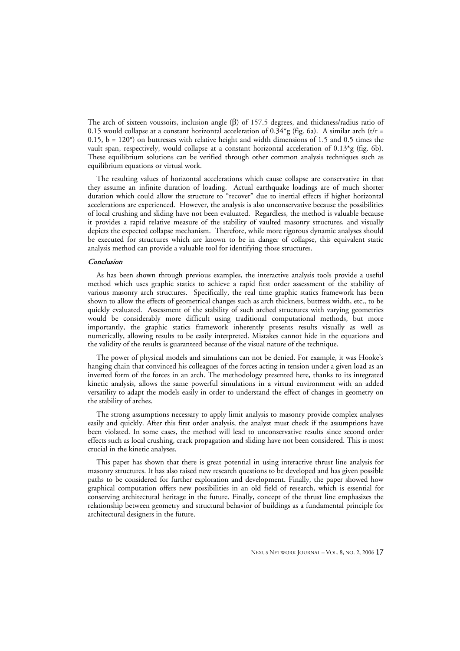The arch of sixteen voussoirs, inclusion angle (β) of 157.5 degrees, and thickness/radius ratio of 0.15 would collapse at a constant horizontal acceleration of 0.34<sup>\*</sup>g (fig. 6a). A similar arch (t/r = 0.15,  $b = 120^{\circ}$ ) on buttresses with relative height and width dimensions of 1.5 and 0.5 times the vault span, respectively, would collapse at a constant horizontal acceleration of 0.13\*g (fig. 6b). These equilibrium solutions can be verified through other common analysis techniques such as equilibrium equations or virtual work.

The resulting values of horizontal accelerations which cause collapse are conservative in that they assume an infinite duration of loading. Actual earthquake loadings are of much shorter duration which could allow the structure to "recover" due to inertial effects if higher horizontal accelerations are experienced. However, the analysis is also unconservative because the possibilities of local crushing and sliding have not been evaluated. Regardless, the method is valuable because it provides a rapid relative measure of the stability of vaulted masonry structures, and visually depicts the expected collapse mechanism. Therefore, while more rigorous dynamic analyses should be executed for structures which are known to be in danger of collapse, this equivalent static analysis method can provide a valuable tool for identifying those structures.

# **Conclusion**

As has been shown through previous examples, the interactive analysis tools provide a useful method which uses graphic statics to achieve a rapid first order assessment of the stability of various masonry arch structures. Specifically, the real time graphic statics framework has been shown to allow the effects of geometrical changes such as arch thickness, buttress width, etc., to be quickly evaluated. Assessment of the stability of such arched structures with varying geometries would be considerably more difficult using traditional computational methods, but more importantly, the graphic statics framework inherently presents results visually as well as numerically, allowing results to be easily interpreted. Mistakes cannot hide in the equations and the validity of the results is guaranteed because of the visual nature of the technique.

The power of physical models and simulations can not be denied. For example, it was Hooke's hanging chain that convinced his colleagues of the forces acting in tension under a given load as an inverted form of the forces in an arch. The methodology presented here, thanks to its integrated kinetic analysis, allows the same powerful simulations in a virtual environment with an added versatility to adapt the models easily in order to understand the effect of changes in geometry on the stability of arches.

The strong assumptions necessary to apply limit analysis to masonry provide complex analyses easily and quickly. After this first order analysis, the analyst must check if the assumptions have been violated. In some cases, the method will lead to unconservative results since second order effects such as local crushing, crack propagation and sliding have not been considered. This is most crucial in the kinetic analyses.

This paper has shown that there is great potential in using interactive thrust line analysis for masonry structures. It has also raised new research questions to be developed and has given possible paths to be considered for further exploration and development. Finally, the paper showed how graphical computation offers new possibilities in an old field of research, which is essential for conserving architectural heritage in the future. Finally, concept of the thrust line emphasizes the relationship between geometry and structural behavior of buildings as a fundamental principle for architectural designers in the future.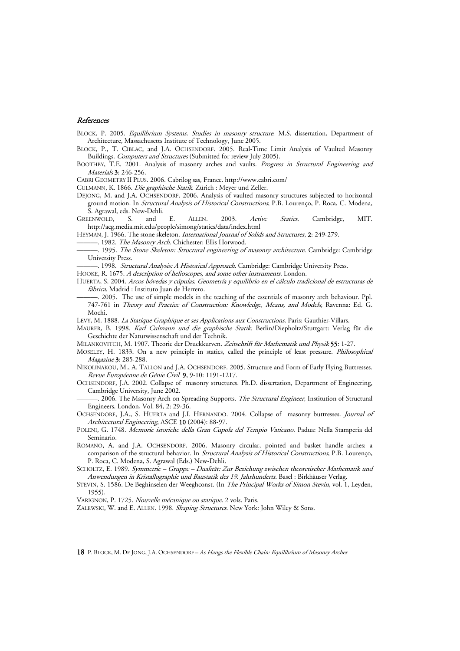#### References

BLOCK, P. 2005. Equilibrium Systems. Studies in masonry structure. M.S. dissertation, Department of Architecture, Massachusetts Institute of Technology, June 2005.

BLOCK, P., T. CIBLAC, and J.A. OCHSENDORF. 2005. Real-Time Limit Analysis of Vaulted Masonry Buildings. Computers and Structures (Submitted for review July 2005).

BOOTHBY, T.E. 2001. Analysis of masonry arches and vaults. Progress in Structural Engineering and Materials 3: 246-256.

CABRI GEOMETRY II PLUS. 2006. Cabrilog sas, France. http://www.cabri.com/

CULMANN, K. 1866. Die graphische Statik. Zürich : Meyer und Zeller.

DEJONG, M. and J.A. OCHSENDORF. 2006. Analysis of vaulted masonry structures subjected to horizontal ground motion. In Structural Analysis of Historical Constructions, P.B. Lourenço, P. Roca, C. Modena, S. Agrawal, eds. New-Dehli.

GREENWOLD, S. and E. ALLEN. 2003. Active Statics. Cambridge, MIT. http://acg.media.mit.edu/people/simong/statics/data/index.html

HEYMAN, J. 1966. The stone skeleton. International Journal of Solids and Structures, 2: 249-279. -. 1982. The Masonry Arch. Chichester: Ellis Horwood.

-. 1995. *The Stone Skeleton: Structural engineering of masonry architecture*. Cambridge: Cambridge University Press.

. 1998. Structural Analysis: A Historical Approach. Cambridge: Cambridge University Press.

HOOKE, R. 1675. A description of helioscopes, and some other instruments. London.

HUERTA, S. 2004. Arcos bóvedas y cúpulas. Geometría y equilibrio en el cálculo tradicional de estructuras de fábrica. Madrid : Instituto Juan de Herrero.

———. 2005. The use of simple models in the teaching of the essentials of masonry arch behaviour. Ppl. 747-761 in Theory and Practice of Construction: Knowledge, Means, and Models, Ravenna: Ed. G. Mochi.

LEVY, M. 1888. La Statique Graphique et ses Applications aux Constructions. Paris: Gauthier-Villars.

MAURER, B. 1998. Karl Culmann und die graphische Statik. Berlin/Diepholtz/Stuttgart: Verlag für die Geschichte der Naturwissenschaft und der Technik.

MILANKOVITCH, M. 1907. Theorie der Druckkurven. Zeitschrift für Mathematik und Physik 55: 1-27.

MOSELEY, H. 1833. On a new principle in statics, called the principle of least pressure. Philosophical Magazine 3: 285-288.

NIKOLINAKOU, M., A. TALLON and J.A. OCHSENDORF. 2005. Structure and Form of Early Flying Buttresses. Revue Européenne de Génie Civil 9, 9-10: 1191-1217.

OCHSENDORF, J.A. 2002. Collapse of masonry structures. Ph.D. dissertation, Department of Engineering, Cambridge University, June 2002.

. 2006. The Masonry Arch on Spreading Supports. The Structural Engineer, Institution of Structural Engineers. London, Vol. 84, 2: 29-36.

OCHSENDORF, J.A., S. HUERTA and J.I. HERNANDO. 2004. Collapse of masonry buttresses. Journal of Architectural Engineering, ASCE 10 (2004): 88-97.

POLENI, G. 1748. Memorie istoriche della Gran Cupola del Tempio Vaticano. Padua: Nella Stamperia del Seminario.

ROMANO, A. and J.A. OCHSENDORF. 2006. Masonry circular, pointed and basket handle arches: a comparison of the structural behavior. In Structural Analysis of Historical Constructions, P.B. Lourenço, P. Roca, C. Modena, S. Agrawal (Eds.) New-Dehli.

SCHOLTZ, E. 1989. Symmetrie – Gruppe – Dualität: Zur Beziehung zwischen theoretischer Mathematik und Anwendungen in Kristallographie und Baustatik des 19. Jahrhunderts. Basel : Birkhäuser Verlag.

STEVIN, S. 1586. De Beghinselen der Weeghconst. (In The Principal Works of Simon Stevin, vol. 1, Leyden, 1955).

VARIGNON, P. 1725. Nouvelle mécanique ou statique. 2 vols. Paris.

ZALEWSKI, W. and E. ALLEN. 1998. Shaping Structures. New York: John Wiley & Sons.

18 P. BLOCK, M. DE JONG, J.A. OCHSENDORF - As Hangs the Flexible Chain: Equilibrium of Masonry Arches